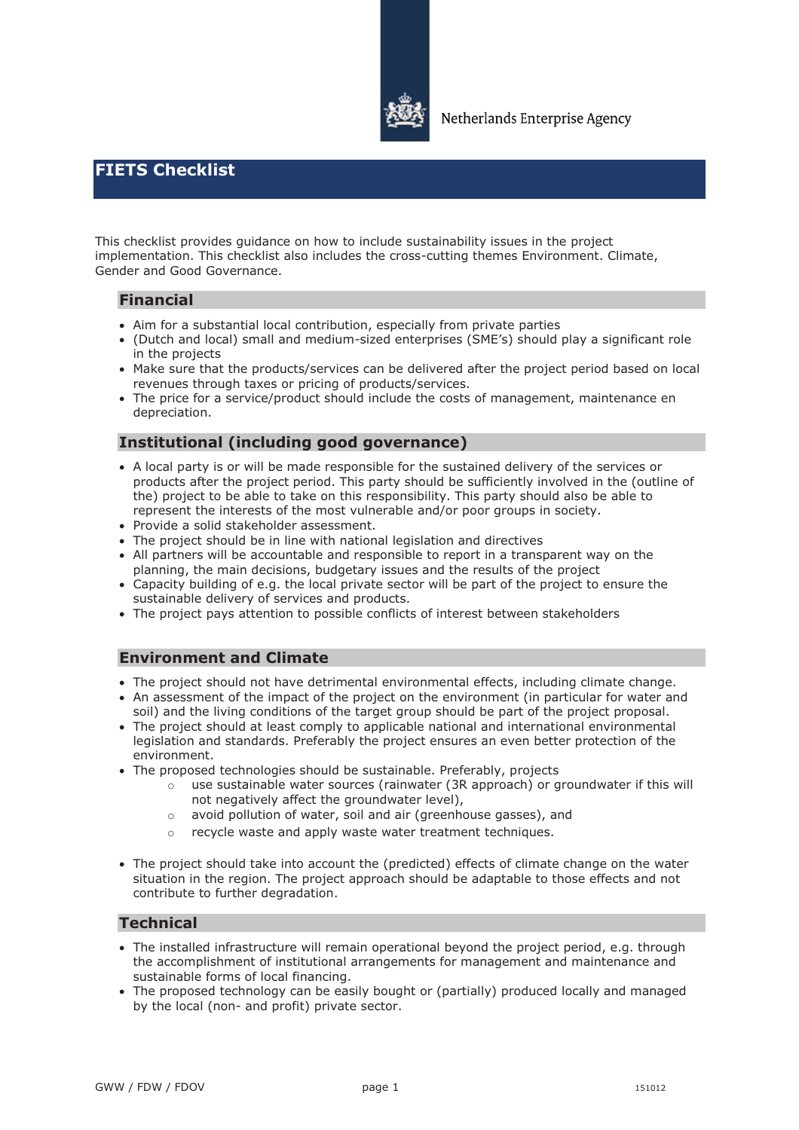

# **FIETS Checklist**

This checklist provides guidance on how to include sustainability issues in the project implementation. This checklist also includes the cross-cutting themes Environment. Climate, Gender and Good Governance.

#### **Financial**

- Aim for a substantial local contribution, especially from private parties
- · (Dutch and local) small and medium-sized enterprises (SME's) should play a significant role in the projects
- · Make sure that the products/services can be delivered after the project period based on local revenues through taxes or pricing of products/services.
- · The price for a service/product should include the costs of management, maintenance en depreciation.

### **Institutional (including good governance)**

- · A local party is or will be made responsible for the sustained delivery of the services or products after the project period. This party should be sufficiently involved in the (outline of the) project to be able to take on this responsibility. This party should also be able to represent the interests of the most vulnerable and/or poor groups in society.
- · Provide a solid stakeholder assessment.
- The project should be in line with national legislation and directives
- · All partners will be accountable and responsible to report in a transparent way on the planning, the main decisions, budgetary issues and the results of the project
- · Capacity building of e.g. the local private sector will be part of the project to ensure the sustainable delivery of services and products.
- · The project pays attention to possible conflicts of interest between stakeholders

#### **Environment and Climate**

- · The project should not have detrimental environmental effects, including climate change.
- · An assessment of the impact of the project on the environment (in particular for water and soil) and the living conditions of the target group should be part of the project proposal.
- · The project should at least comply to applicable national and international environmental legislation and standards. Preferably the project ensures an even better protection of the environment.
- · The proposed technologies should be sustainable. Preferably, projects
	- $\circ$  use sustainable water sources (rainwater (3R approach) or groundwater if this will not negatively affect the groundwater level),
	- o avoid pollution of water, soil and air (greenhouse gasses), and
	- o recycle waste and apply waste water treatment techniques.
- · The project should take into account the (predicted) effects of climate change on the water situation in the region. The project approach should be adaptable to those effects and not contribute to further degradation.

#### **Technical**

- · The installed infrastructure will remain operational beyond the project period, e.g. through the accomplishment of institutional arrangements for management and maintenance and sustainable forms of local financing.
- · The proposed technology can be easily bought or (partially) produced locally and managed by the local (non- and profit) private sector.